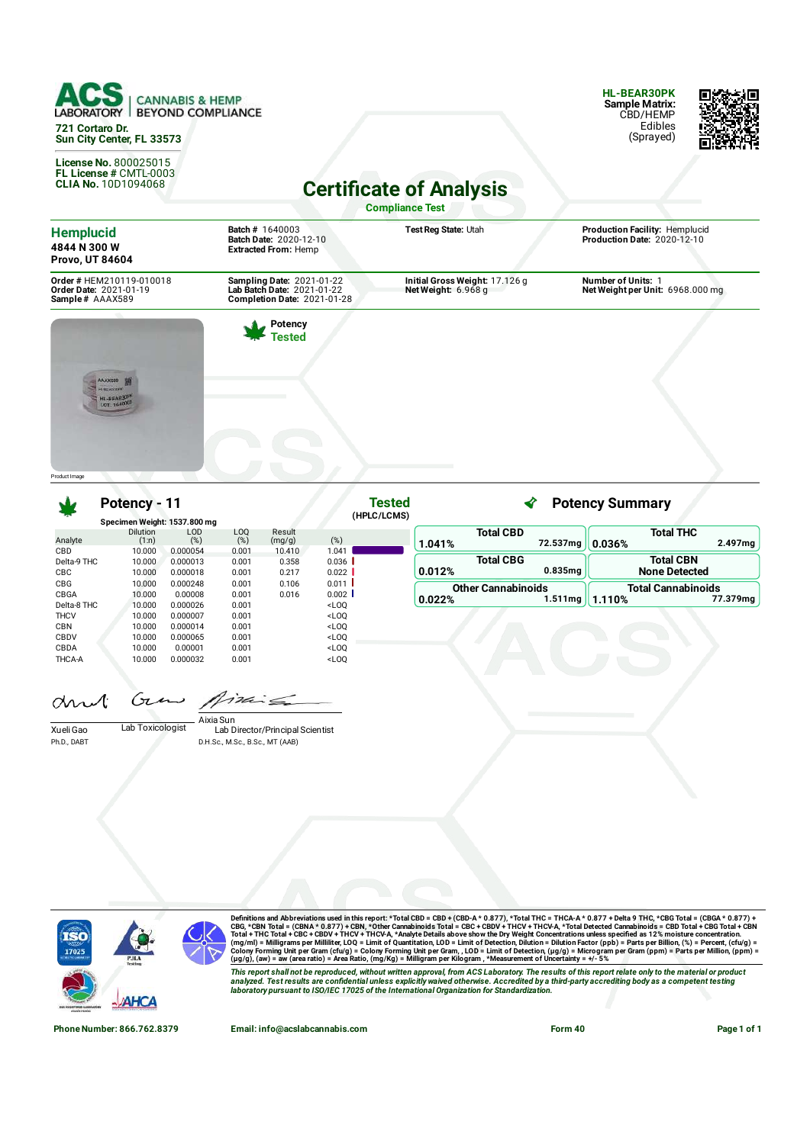

**License No.** 800025015 **FL License #** CMTL-0003 **CLIA No.** 10D1094068

**HL-BEAR30PK Sample Matrix:** CBD/HEMP Edibles (Sprayed)



**Certificate of Analysis** 

**Compliance Test**

| <b>Batch # 1640003</b><br><b>Batch Date: 2020-12-10</b><br><b>Extracted From: Hemp</b>        | Test Reg State: Utah                                  | Production Facility: Hemplucid<br>Production Date: 2020-12-10 |
|-----------------------------------------------------------------------------------------------|-------------------------------------------------------|---------------------------------------------------------------|
| <b>Sampling Date: 2021-01-22</b><br>Lab Batch Date: 2021-01-22<br>Completion Date: 2021-01-28 | Initial Gross Weight: 17.126 g<br>Net Weight: 6.968 g | <b>Number of Units: 1</b><br>Net Weight per Unit: 6968.000 mg |
| Potency<br>Tested                                                                             |                                                       |                                                               |
|                                                                                               |                                                       |                                                               |

Product Image

## **Potency - 11**

|                                         | Potency - 11                 |                                  |                         |                          | Tested<br>(HPLC/LCMS)                                                                                                                                                    |        |                           |                     | <b>Potency Summary</b> |                                          |          |
|-----------------------------------------|------------------------------|----------------------------------|-------------------------|--------------------------|--------------------------------------------------------------------------------------------------------------------------------------------------------------------------|--------|---------------------------|---------------------|------------------------|------------------------------------------|----------|
|                                         | Specimen Weight: 1537.800 mg |                                  |                         |                          |                                                                                                                                                                          |        |                           |                     |                        |                                          |          |
| Analyte                                 | <b>Dilution</b><br>(1:n)     | <b>LOD</b><br>(%)                | LOQ<br>(%)              | Result<br>(mg/g)         | (%)                                                                                                                                                                      | 1.041% | <b>Total CBD</b>          | 72.537mg            | 0.036%                 | <b>Total THC</b>                         | 2.497mg  |
| <b>CBD</b><br>Delta-9 THC<br><b>CBC</b> | 10.000<br>10.000<br>10.000   | 0.000054<br>0.000013<br>0.000018 | 0.001<br>0.001<br>0.001 | 10.410<br>0.358<br>0.217 | 1.041<br>0.036<br>0.022                                                                                                                                                  | 0.012% | <b>Total CBG</b>          | 0.835 <sub>ma</sub> |                        | <b>Total CBN</b><br><b>None Detected</b> |          |
| <b>CBG</b><br>CBGA<br>Delta-8 THC       | 10.000<br>10.000<br>10.000   | 0.000248<br>0.00008<br>0.000026  | 0.001<br>0.001<br>0.001 | 0.106<br>0.016           | 0.011<br>0.002<br><loq< td=""><td>0.022%</td><td><b>Other Cannabinoids</b></td><td>1.511mg</td><td>1.110%</td><td><b>Total Cannabinoids</b></td><td>77.379mg</td></loq<> | 0.022% | <b>Other Cannabinoids</b> | 1.511mg             | 1.110%                 | <b>Total Cannabinoids</b>                | 77.379mg |
| <b>THCV</b><br><b>CBN</b>               | 10.000<br>10.000             | 0.000007<br>0.000014             | 0.001<br>0.001          |                          | <loq<br><loq< td=""><td></td><td></td><td></td><td></td><td></td><td></td></loq<></loq<br>                                                                               |        |                           |                     |                        |                                          |          |
| CBDV<br>CBDA<br>THCA-A                  | 10.000<br>10.000<br>10.000   | 0.000065<br>0.00001<br>0.000032  | 0.001<br>0.001<br>0.001 |                          | <loq<br><loq<br><loq< td=""><td></td><td></td><td></td><td></td><td></td><td></td></loq<></loq<br></loq<br>                                                              |        |                           |                     |                        |                                          |          |

**Tested**

Cπ  $1726$  $\alpha$ 

Xueli Gao Lab Toxicologist Ph.D., DABT

Lab Director/Principal Scientist Aixia Sun

D.H.Sc., M.Sc., B.Sc., MT (AAB)



Definitions and Abbreviations used in this report: \*Total CBD = CBD + (CBD-A \* 0.877), \*Total THC = THCA-A \* 0.877) + Delta 9 THC, \*CBG Total = (CBGA \* 0.877) +<br>CBG, \*CBN Total = (CBNA \* 0.877) + CBN, \*Other Cannabinoids T

This report shall not be reproduced, without written approval, from ACS Laboratory. The results of this report relate only to the material or product<br>analyzed. Test results are confidential unless explicitly waived otherwi

**Phone Number: 866.762.8379 Email: info@acslabcannabis.com Form 40 Page 1 of 1**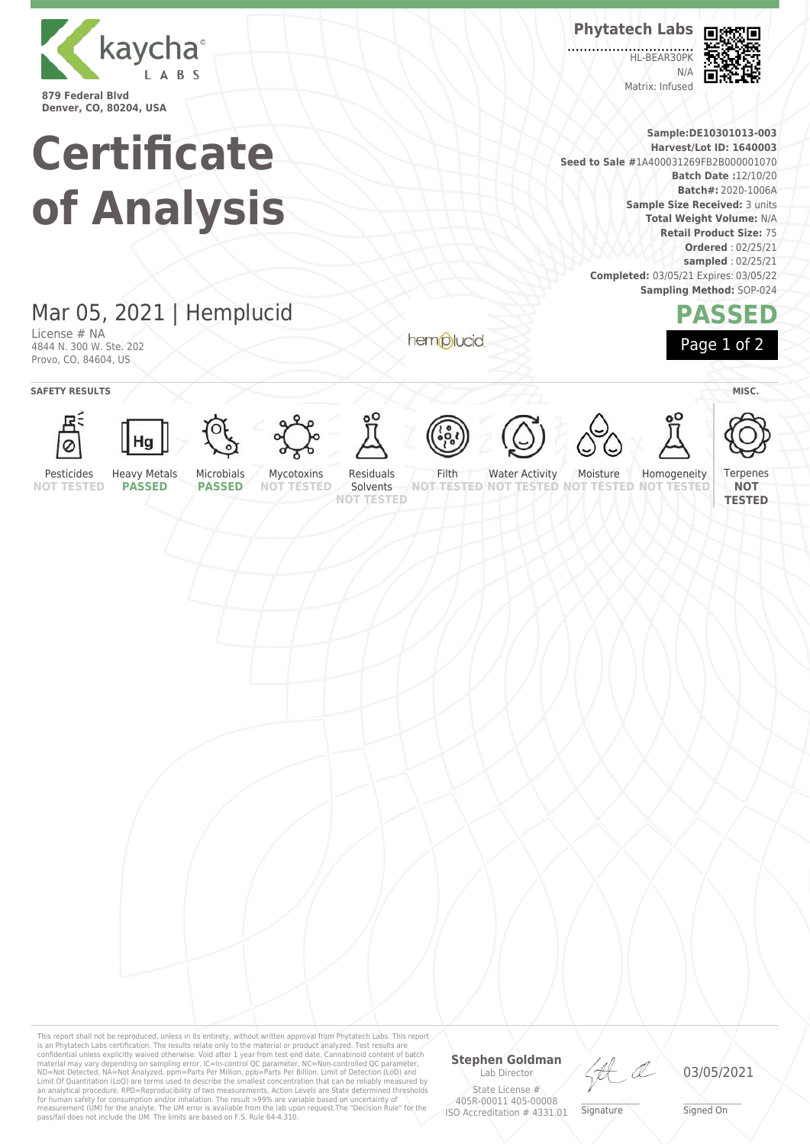

**Certificate of Analysis**

## Mar 05, 2021 | Hemplucid

License # NA 4844 N. 300 W. Ste. 202 Provo, CO, 84604, US

hemplucid



**Phytatech Labs**

HL-BEAR30PK  $N/L$ Matrix: Infused



**Sample:DE10301013-003 Harvest/Lot ID: 1640003 Seed to Sale #**1A400031269FB2B000001070 **Batch Date :**12/10/20 **Batch#:** 2020-1006A **Sample Size Received:** 3 units **Total Weight Volume:** N/A **Retail Product Size:** 75 **Ordered** : 02/25/21 **sampled** : 02/25/21 **Completed:** 03/05/21 Expires: 03/05/22 **Sampling Method:** SOP-024

## **PASSED** Page 1 of 2

**SAFETY RESULTS** / **MISC.** 





































Pesticides **NOT TESTED** Heavy Metals **PASSED**

Microbials **PASSED**

Mycotoxins **NOT TESTED** Residuals Solvents

**NOT TESTED**

Water Activity Moisture

**NOT TESTED NOT TESTED NOT TESTED NOT TESTED** Homogeneity

**Terpenes NOT TESTED**

This report shall not be reproduced, unless in its entirety, without written approval from Phytatech Labs. This report<br>is an Phytatech Labs certification. The results relate only to the material or product analyzed. Test Lab Director State License # 405R-00011 405-00008 ISO Accreditation # 4331.01

**Stephen Goldman**

HA

\_\_\_\_\_\_\_\_\_\_\_\_\_\_\_\_\_\_\_ Signature

03/05/2021

\_\_\_\_\_\_\_\_\_\_\_\_\_\_\_\_\_\_\_ Signed On